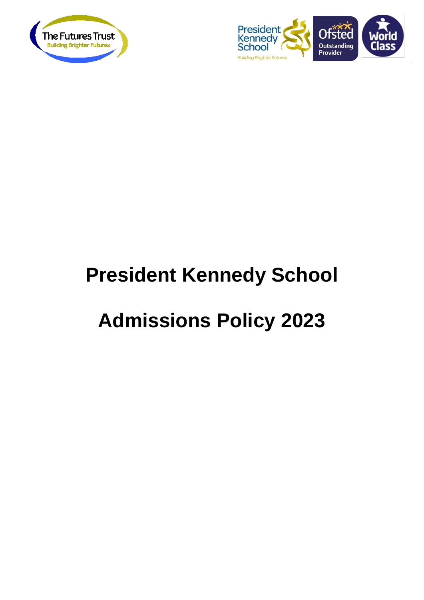



# **President Kennedy School**

## **Admissions Policy 2023**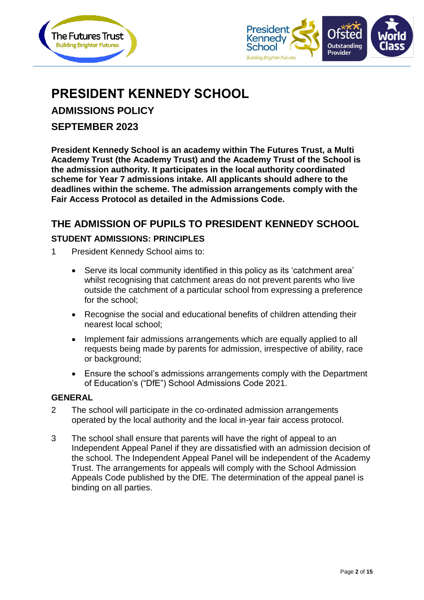



## **PRESIDENT KENNEDY SCHOOL**

**ADMISSIONS POLICY**

**SEPTEMBER 2023**

**President Kennedy School is an academy within The Futures Trust, a Multi Academy Trust (the Academy Trust) and the Academy Trust of the School is the admission authority. It participates in the local authority coordinated scheme for Year 7 admissions intake. All applicants should adhere to the deadlines within the scheme. The admission arrangements comply with the Fair Access Protocol as detailed in the Admissions Code.**

#### **THE ADMISSION OF PUPILS TO PRESIDENT KENNEDY SCHOOL**

#### **STUDENT ADMISSIONS: PRINCIPLES**

- 1 President Kennedy School aims to:
	- Serve its local community identified in this policy as its 'catchment area' whilst recognising that catchment areas do not prevent parents who live outside the catchment of a particular school from expressing a preference for the school;
	- Recognise the social and educational benefits of children attending their nearest local school;
	- Implement fair admissions arrangements which are equally applied to all requests being made by parents for admission, irrespective of ability, race or background;
	- Ensure the school's admissions arrangements comply with the Department of Education's ("DfE") School Admissions Code 2021.

#### **GENERAL**

- 2 The school will participate in the co-ordinated admission arrangements operated by the local authority and the local in-year fair access protocol.
- 3 The school shall ensure that parents will have the right of appeal to an Independent Appeal Panel if they are dissatisfied with an admission decision of the school. The Independent Appeal Panel will be independent of the Academy Trust. The arrangements for appeals will comply with the School Admission Appeals Code published by the DfE. The determination of the appeal panel is binding on all parties.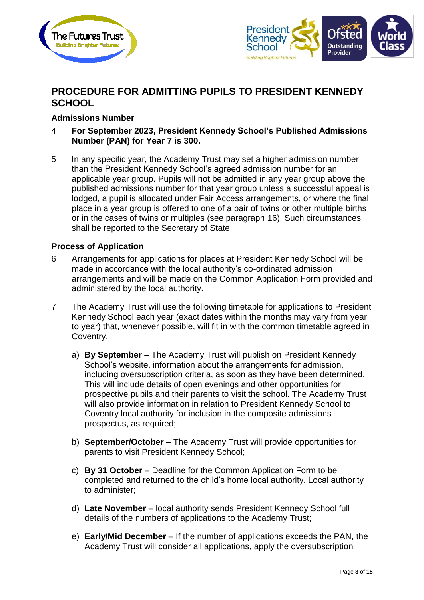



## **PROCEDURE FOR ADMITTING PUPILS TO PRESIDENT KENNEDY SCHOOL**

#### **Admissions Number**

- 4 **For September 2023, President Kennedy School's Published Admissions Number (PAN) for Year 7 is 300.**
- 5 In any specific year, the Academy Trust may set a higher admission number than the President Kennedy School's agreed admission number for an applicable year group. Pupils will not be admitted in any year group above the published admissions number for that year group unless a successful appeal is lodged, a pupil is allocated under Fair Access arrangements, or where the final place in a year group is offered to one of a pair of twins or other multiple births or in the cases of twins or multiples (see paragraph 16). Such circumstances shall be reported to the Secretary of State.

#### **Process of Application**

- 6 Arrangements for applications for places at President Kennedy School will be made in accordance with the local authority's co-ordinated admission arrangements and will be made on the Common Application Form provided and administered by the local authority.
- 7 The Academy Trust will use the following timetable for applications to President Kennedy School each year (exact dates within the months may vary from year to year) that, whenever possible, will fit in with the common timetable agreed in Coventry.
	- a) **By September** The Academy Trust will publish on President Kennedy School's website, information about the arrangements for admission, including oversubscription criteria, as soon as they have been determined. This will include details of open evenings and other opportunities for prospective pupils and their parents to visit the school. The Academy Trust will also provide information in relation to President Kennedy School to Coventry local authority for inclusion in the composite admissions prospectus, as required;
	- b) **September/October** The Academy Trust will provide opportunities for parents to visit President Kennedy School;
	- c) **By 31 October** Deadline for the Common Application Form to be completed and returned to the child's home local authority. Local authority to administer;
	- d) **Late November** local authority sends President Kennedy School full details of the numbers of applications to the Academy Trust;
	- e) **Early/Mid December** If the number of applications exceeds the PAN, the Academy Trust will consider all applications, apply the oversubscription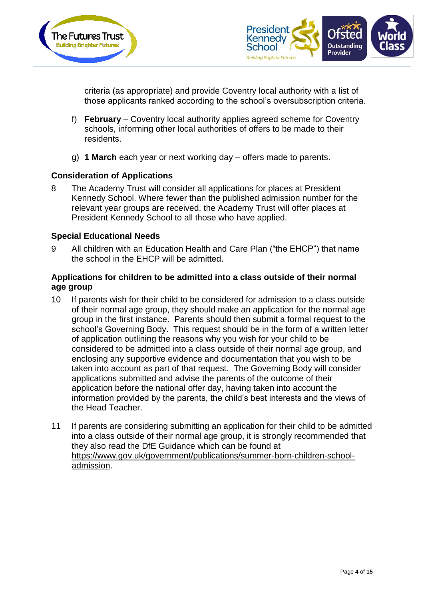



criteria (as appropriate) and provide Coventry local authority with a list of those applicants ranked according to the school's oversubscription criteria.

- f) **February** Coventry local authority applies agreed scheme for Coventry schools, informing other local authorities of offers to be made to their residents.
- g) **1 March** each year or next working day offers made to parents.

#### **Consideration of Applications**

8 The Academy Trust will consider all applications for places at President Kennedy School. Where fewer than the published admission number for the relevant year groups are received, the Academy Trust will offer places at President Kennedy School to all those who have applied.

#### **Special Educational Needs**

9 All children with an Education Health and Care Plan ("the EHCP") that name the school in the EHCP will be admitted.

#### **Applications for children to be admitted into a class outside of their normal age group**

- 10 If parents wish for their child to be considered for admission to a class outside of their normal age group, they should make an application for the normal age group in the first instance. Parents should then submit a formal request to the school's Governing Body. This request should be in the form of a written letter of application outlining the reasons why you wish for your child to be considered to be admitted into a class outside of their normal age group, and enclosing any supportive evidence and documentation that you wish to be taken into account as part of that request. The Governing Body will consider applications submitted and advise the parents of the outcome of their application before the national offer day, having taken into account the information provided by the parents, the child's best interests and the views of the Head Teacher.
- 11 If parents are considering submitting an application for their child to be admitted into a class outside of their normal age group, it is strongly recommended that they also read the DfE Guidance which can be found at [https://www.gov.uk/government/publications/summer-born-children-school](https://www.gov.uk/government/publications/summer-born-children-school-admission)[admission.](https://www.gov.uk/government/publications/summer-born-children-school-admission)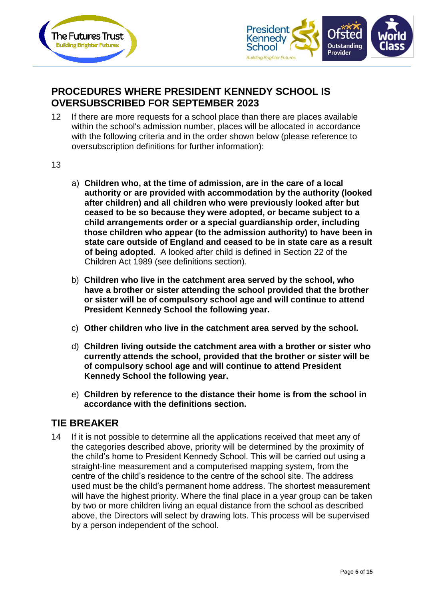



### **PROCEDURES WHERE PRESIDENT KENNEDY SCHOOL IS OVERSUBSCRIBED FOR SEPTEMBER 2023**

- 12 If there are more requests for a school place than there are places available within the school's admission number, places will be allocated in accordance with the following criteria and in the order shown below (please reference to oversubscription definitions for further information):
- 13
- a) **Children who, at the time of admission, are in the care of a local authority or are provided with accommodation by the authority (looked after children) and all children who were previously looked after but ceased to be so because they were adopted, or became subject to a child arrangements order or a special guardianship order, including those children who appear (to the admission authority) to have been in state care outside of England and ceased to be in state care as a result of being adopted**. A looked after child is defined in Section 22 of the Children Act 1989 (see definitions section).
- b) **Children who live in the catchment area served by the school, who have a brother or sister attending the school provided that the brother or sister will be of compulsory school age and will continue to attend President Kennedy School the following year.**
- c) **Other children who live in the catchment area served by the school.**
- d) **Children living outside the catchment area with a brother or sister who currently attends the school, provided that the brother or sister will be of compulsory school age and will continue to attend President Kennedy School the following year.**
- e) **Children by reference to the distance their home is from the school in accordance with the definitions section.**

#### **TIE BREAKER**

14 If it is not possible to determine all the applications received that meet any of the categories described above, priority will be determined by the proximity of the child's home to President Kennedy School. This will be carried out using a straight-line measurement and a computerised mapping system, from the centre of the child's residence to the centre of the school site. The address used must be the child's permanent home address. The shortest measurement will have the highest priority. Where the final place in a year group can be taken by two or more children living an equal distance from the school as described above, the Directors will select by drawing lots. This process will be supervised by a person independent of the school.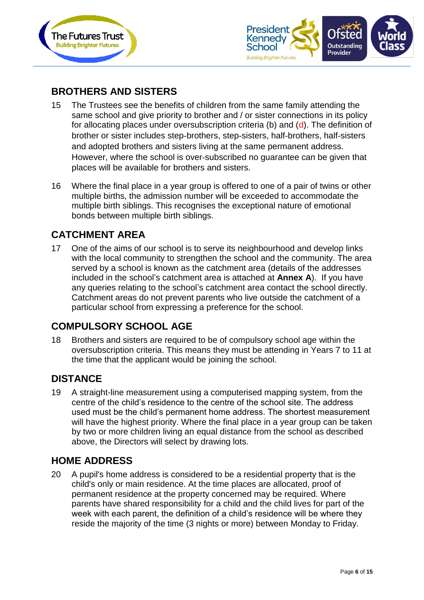



## **BROTHERS AND SISTERS**

- 15 The Trustees see the benefits of children from the same family attending the same school and give priority to brother and / or sister connections in its policy for allocating places under oversubscription criteria (b) and (d). The definition of brother or sister includes step‐brothers, step‐sisters, half‐brothers, half‐sisters and adopted brothers and sisters living at the same permanent address. However, where the school is over‐subscribed no guarantee can be given that places will be available for brothers and sisters.
- 16 Where the final place in a year group is offered to one of a pair of twins or other multiple births, the admission number will be exceeded to accommodate the multiple birth siblings. This recognises the exceptional nature of emotional bonds between multiple birth siblings.

### **CATCHMENT AREA**

17 One of the aims of our school is to serve its neighbourhood and develop links with the local community to strengthen the school and the community. The area served by a school is known as the catchment area (details of the addresses included in the school's catchment area is attached at **Annex A**). If you have any queries relating to the school's catchment area contact the school directly. Catchment areas do not prevent parents who live outside the catchment of a particular school from expressing a preference for the school.

### **COMPULSORY SCHOOL AGE**

18 Brothers and sisters are required to be of compulsory school age within the oversubscription criteria. This means they must be attending in Years 7 to 11 at the time that the applicant would be joining the school.

#### **DISTANCE**

19 A straight-line measurement using a computerised mapping system, from the centre of the child's residence to the centre of the school site. The address used must be the child's permanent home address. The shortest measurement will have the highest priority. Where the final place in a year group can be taken by two or more children living an equal distance from the school as described above, the Directors will select by drawing lots.

#### **HOME ADDRESS**

20 A pupil's home address is considered to be a residential property that is the child's only or main residence. At the time places are allocated, proof of permanent residence at the property concerned may be required. Where parents have shared responsibility for a child and the child lives for part of the week with each parent, the definition of a child's residence will be where they reside the majority of the time (3 nights or more) between Monday to Friday.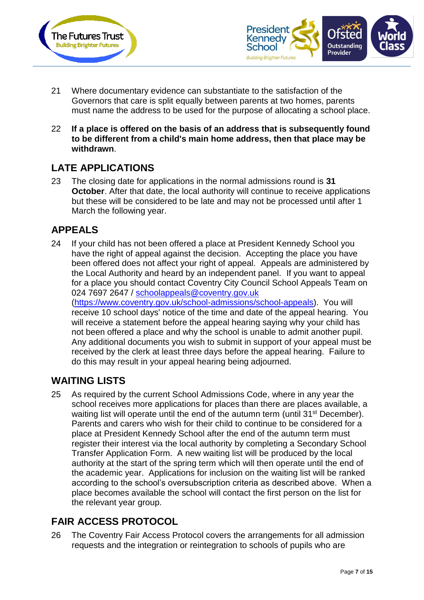



- 21 Where documentary evidence can substantiate to the satisfaction of the Governors that care is split equally between parents at two homes, parents must name the address to be used for the purpose of allocating a school place.
- 22 **If a place is offered on the basis of an address that is subsequently found to be different from a child's main home address, then that place may be withdrawn**.

## **LATE APPLICATIONS**

23 The closing date for applications in the normal admissions round is **31 October.** After that date, the local authority will continue to receive applications but these will be considered to be late and may not be processed until after 1 March the following year.

### **APPEALS**

24 If your child has not been offered a place at President Kennedy School you have the right of appeal against the decision. Accepting the place you have been offered does not affect your right of appeal. Appeals are administered by the Local Authority and heard by an independent panel. If you want to appeal for a place you should contact Coventry City Council School Appeals Team on 024 7697 2647 / [schoolappeals@coventry.gov.uk](mailto:schoolappeals@coventry.gov.uk) [\(https://www.coventry.gov.uk/school-admissions/school-appeals\)](https://www.coventry.gov.uk/school-admissions/school-appeals). You will receive 10 school days' notice of the time and date of the appeal hearing. You will receive a statement before the appeal hearing saying why your child has not been offered a place and why the school is unable to admit another pupil. Any additional documents you wish to submit in support of your appeal must be received by the clerk at least three days before the appeal hearing. Failure to do this may result in your appeal hearing being adjourned.

### **WAITING LISTS**

25 As required by the current School Admissions Code, where in any year the school receives more applications for places than there are places available, a waiting list will operate until the end of the autumn term (until 31<sup>st</sup> December). Parents and carers who wish for their child to continue to be considered for a place at President Kennedy School after the end of the autumn term must register their interest via the local authority by completing a Secondary School Transfer Application Form. A new waiting list will be produced by the local authority at the start of the spring term which will then operate until the end of the academic year. Applications for inclusion on the waiting list will be ranked according to the school's oversubscription criteria as described above. When a place becomes available the school will contact the first person on the list for the relevant year group.

## **FAIR ACCESS PROTOCOL**

26 The Coventry Fair Access Protocol covers the arrangements for all admission requests and the integration or reintegration to schools of pupils who are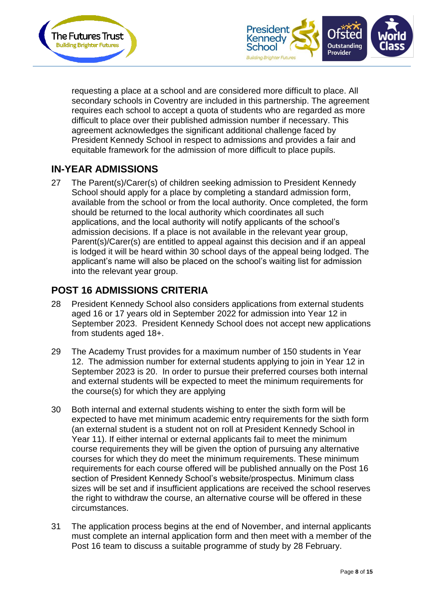



requesting a place at a school and are considered more difficult to place. All secondary schools in Coventry are included in this partnership. The agreement requires each school to accept a quota of students who are regarded as more difficult to place over their published admission number if necessary. This agreement acknowledges the significant additional challenge faced by President Kennedy School in respect to admissions and provides a fair and equitable framework for the admission of more difficult to place pupils.

## **IN-YEAR ADMISSIONS**

27 The Parent(s)/Carer(s) of children seeking admission to President Kennedy School should apply for a place by completing a standard admission form, available from the school or from the local authority. Once completed, the form should be returned to the local authority which coordinates all such applications, and the local authority will notify applicants of the school's admission decisions. If a place is not available in the relevant year group, Parent(s)/Carer(s) are entitled to appeal against this decision and if an appeal is lodged it will be heard within 30 school days of the appeal being lodged. The applicant's name will also be placed on the school's waiting list for admission into the relevant year group.

### **POST 16 ADMISSIONS CRITERIA**

- 28 President Kennedy School also considers applications from external students aged 16 or 17 years old in September 2022 for admission into Year 12 in September 2023. President Kennedy School does not accept new applications from students aged 18+.
- 29 The Academy Trust provides for a maximum number of 150 students in Year 12. The admission number for external students applying to join in Year 12 in September 2023 is 20. In order to pursue their preferred courses both internal and external students will be expected to meet the minimum requirements for the course(s) for which they are applying
- 30 Both internal and external students wishing to enter the sixth form will be expected to have met minimum academic entry requirements for the sixth form (an external student is a student not on roll at President Kennedy School in Year 11). If either internal or external applicants fail to meet the minimum course requirements they will be given the option of pursuing any alternative courses for which they do meet the minimum requirements. These minimum requirements for each course offered will be published annually on the Post 16 section of President Kennedy School's website/prospectus. Minimum class sizes will be set and if insufficient applications are received the school reserves the right to withdraw the course, an alternative course will be offered in these circumstances.
- 31 The application process begins at the end of November, and internal applicants must complete an internal application form and then meet with a member of the Post 16 team to discuss a suitable programme of study by 28 February.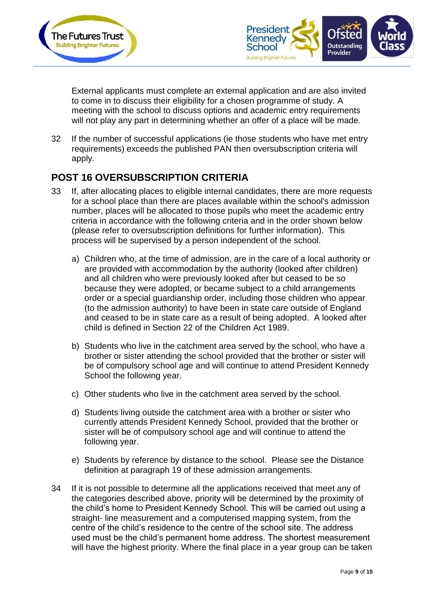



External applicants must complete an external application and are also invited to come in to discuss their eligibility for a chosen programme of study. A meeting with the school to discuss options and academic entry requirements will not play any part in determining whether an offer of a place will be made.

32 If the number of successful applications (ie those students who have met entry requirements) exceeds the published PAN then oversubscription criteria will apply.

### **POST 16 OVERSUBSCRIPTION CRITERIA**

- 33 If, after allocating places to eligible internal candidates, there are more requests for a school place than there are places available within the school's admission number, places will be allocated to those pupils who meet the academic entry criteria in accordance with the following criteria and in the order shown below (please refer to oversubscription definitions for further information). This process will be supervised by a person independent of the school.
	- a) Children who, at the time of admission, are in the care of a local authority or are provided with accommodation by the authority (looked after children) and all children who were previously looked after but ceased to be so because they were adopted, or became subject to a child arrangements order or a special guardianship order, including those children who appear (to the admission authority) to have been in state care outside of England and ceased to be in state care as a result of being adopted. A looked after child is defined in Section 22 of the Children Act 1989.
	- b) Students who live in the catchment area served by the school, who have a brother or sister attending the school provided that the brother or sister will be of compulsory school age and will continue to attend President Kennedy School the following year.
	- c) Other students who live in the catchment area served by the school.
	- d) Students living outside the catchment area with a brother or sister who currently attends President Kennedy School, provided that the brother or sister will be of compulsory school age and will continue to attend the following year.
	- e) Students by reference by distance to the school. Please see the Distance definition at paragraph 19 of these admission arrangements.
- 34 If it is not possible to determine all the applications received that meet any of the categories described above, priority will be determined by the proximity of the child's home to President Kennedy School. This will be carried out using a straight- line measurement and a computerised mapping system, from the centre of the child's residence to the centre of the school site. The address used must be the child's permanent home address. The shortest measurement will have the highest priority. Where the final place in a year group can be taken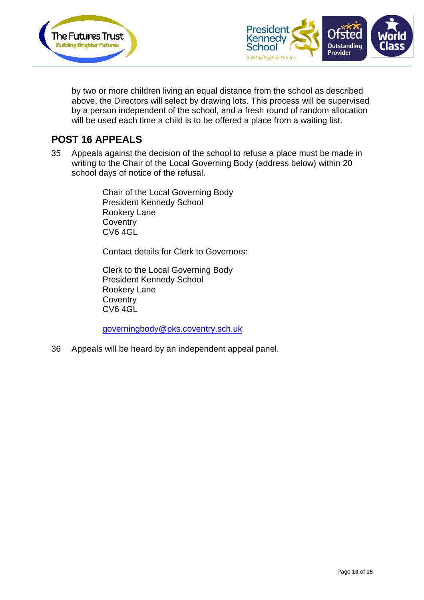



by two or more children living an equal distance from the school as described above, the Directors will select by drawing lots. This process will be supervised by a person independent of the school, and a fresh round of random allocation will be used each time a child is to be offered a place from a waiting list.

#### **POST 16 APPEALS**

35 Appeals against the decision of the school to refuse a place must be made in writing to the Chair of the Local Governing Body (address below) within 20 school days of notice of the refusal.

> Chair of the Local Governing Body President Kennedy School Rookery Lane **Coventry** CV6 4GL

Contact details for Clerk to Governors:

Clerk to the Local Governing Body President Kennedy School Rookery Lane **Coventry** CV6 4GL

[governingbody@pks.coventry.sch.uk](mailto:governingbody@pks.coventry.sch.uk)

36 Appeals will be heard by an independent appeal panel.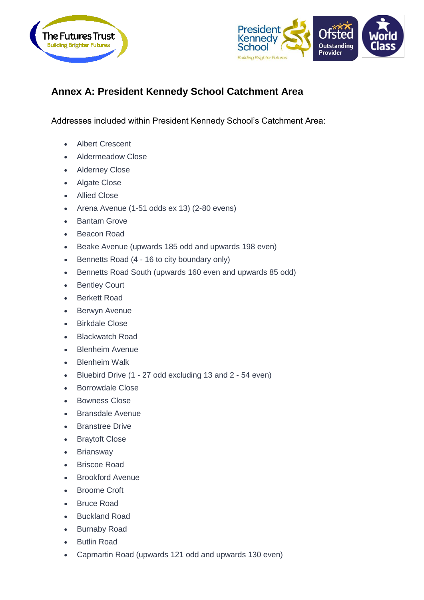



## **Annex A: President Kennedy School Catchment Area**

Addresses included within President Kennedy School's Catchment Area:

- Albert Crescent
- Aldermeadow Close
- Alderney Close
- Algate Close
- Allied Close
- Arena Avenue (1-51 odds ex 13) (2-80 evens)
- Bantam Grove
- Beacon Road
- Beake Avenue (upwards 185 odd and upwards 198 even)
- Bennetts Road (4 16 to city boundary only)
- Bennetts Road South (upwards 160 even and upwards 85 odd)
- Bentley Court
- Berkett Road
- Berwyn Avenue
- Birkdale Close
- Blackwatch Road
- Blenheim Avenue
- Blenheim Walk
- Bluebird Drive (1 27 odd excluding 13 and 2 54 even)
- Borrowdale Close
- Bowness Close
- Bransdale Avenue
- Branstree Drive
- Braytoft Close
- Briansway
- Briscoe Road
- Brookford Avenue
- Broome Croft
- **Bruce Road**
- Buckland Road
- Burnaby Road
- Butlin Road
- Capmartin Road (upwards 121 odd and upwards 130 even)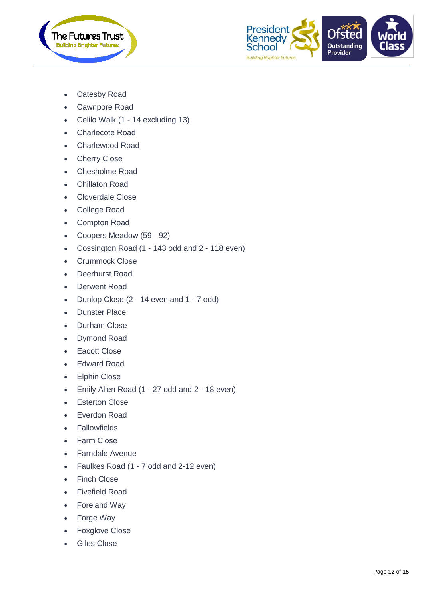



- Catesby Road
- Cawnpore Road
- Celilo Walk (1 14 excluding 13)
- Charlecote Road
- Charlewood Road
- Cherry Close
- Chesholme Road
- Chillaton Road
- Cloverdale Close
- College Road
- Compton Road
- Coopers Meadow (59 92)
- Cossington Road (1 143 odd and 2 118 even)
- Crummock Close
- Deerhurst Road
- Derwent Road
- Dunlop Close (2 14 even and 1 7 odd)
- Dunster Place
- Durham Close
- Dymond Road
- Eacott Close
- Edward Road
- Elphin Close
- Emily Allen Road (1 27 odd and 2 18 even)
- Esterton Close
- Everdon Road
- Fallowfields
- Farm Close
- Farndale Avenue
- Faulkes Road (1 7 odd and 2-12 even)
- Finch Close
- Fivefield Road
- Foreland Way
- Forge Way
- Foxglove Close
- Giles Close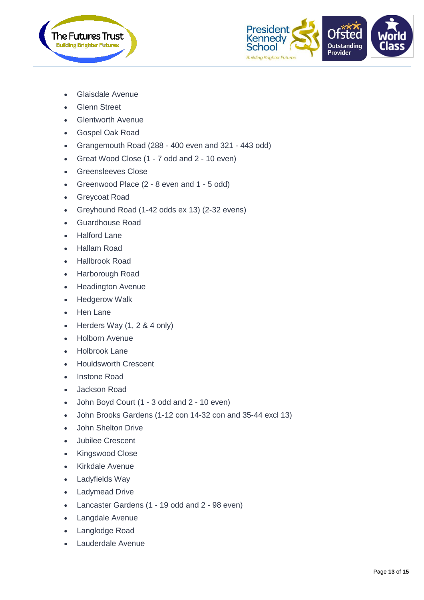



- Glaisdale Avenue
- **Glenn Street**
- Glentworth Avenue
- Gospel Oak Road
- Grangemouth Road (288 400 even and 321 443 odd)
- Great Wood Close (1 7 odd and 2 10 even)
- Greensleeves Close
- Greenwood Place (2 8 even and 1 5 odd)
- Greycoat Road
- Greyhound Road (1-42 odds ex 13) (2-32 evens)
- Guardhouse Road
- Halford Lane
- Hallam Road
- Hallbrook Road
- Harborough Road
- Headington Avenue
- Hedgerow Walk
- Hen Lane
- Herders Way (1, 2 & 4 only)
- Holborn Avenue
- Holbrook Lane
- Houldsworth Crescent
- Instone Road
- Jackson Road
- John Boyd Court (1 3 odd and 2 10 even)
- John Brooks Gardens (1-12 con 14-32 con and 35-44 excl 13)
- John Shelton Drive
- Jubilee Crescent
- Kingswood Close
- Kirkdale Avenue
- Ladyfields Way
- Ladymead Drive
- Lancaster Gardens (1 19 odd and 2 98 even)
- Langdale Avenue
- Langlodge Road
- Lauderdale Avenue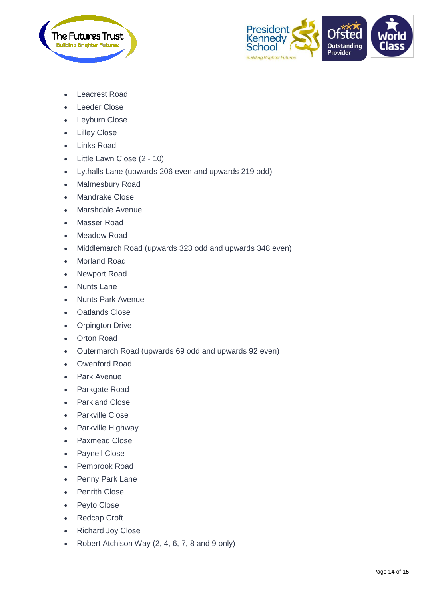



- Leacrest Road
- Leeder Close
- Leyburn Close
- Lilley Close
- Links Road
- Little Lawn Close (2 10)
- Lythalls Lane (upwards 206 even and upwards 219 odd)
- Malmesbury Road
- Mandrake Close
- Marshdale Avenue
- Masser Road
- Meadow Road
- Middlemarch Road (upwards 323 odd and upwards 348 even)
- Morland Road
- Newport Road
- Nunts Lane
- Nunts Park Avenue
- Oatlands Close
- Orpington Drive
- Orton Road
- Outermarch Road (upwards 69 odd and upwards 92 even)
- Owenford Road
- Park Avenue
- Parkgate Road
- Parkland Close
- Parkville Close
- Parkville Highway
- Paxmead Close
- Paynell Close
- Pembrook Road
- Penny Park Lane
- Penrith Close
- Peyto Close
- Redcap Croft
- Richard Joy Close
- Robert Atchison Way  $(2, 4, 6, 7, 8, 9)$  and 9 only)